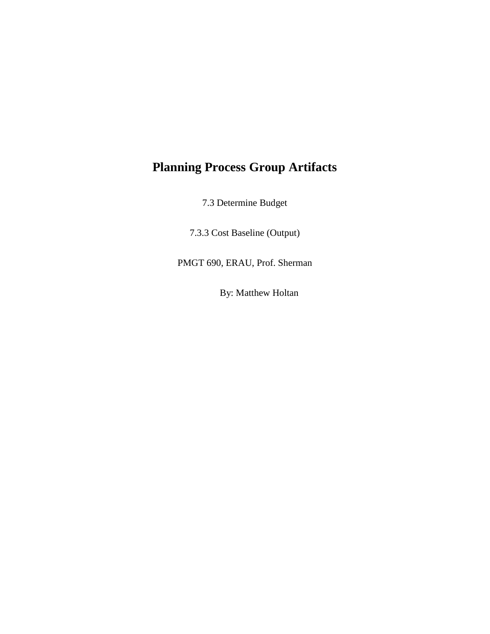## **Planning Process Group Artifacts**

7.3 Determine Budget

7.3.3 Cost Baseline (Output)

PMGT 690, ERAU, Prof. Sherman

By: Matthew Holtan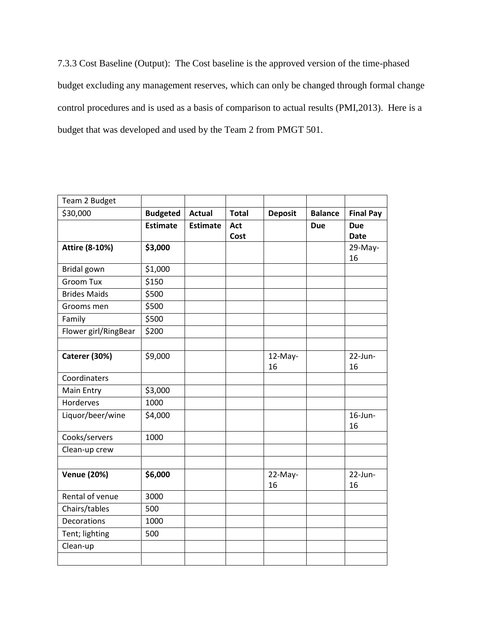7.3.3 Cost Baseline (Output): The Cost baseline is the approved version of the time-phased budget excluding any management reserves, which can only be changed through formal change control procedures and is used as a basis of comparison to actual results (PMI,2013). Here is a budget that was developed and used by the Team 2 from PMGT 501.

| Team 2 Budget         |                 |                 |              |                |                |                           |
|-----------------------|-----------------|-----------------|--------------|----------------|----------------|---------------------------|
| \$30,000              | <b>Budgeted</b> | <b>Actual</b>   | <b>Total</b> | <b>Deposit</b> | <b>Balance</b> | <b>Final Pay</b>          |
|                       | <b>Estimate</b> | <b>Estimate</b> | Act<br>Cost  |                | <b>Due</b>     | <b>Due</b><br><b>Date</b> |
| <b>Attire (8-10%)</b> | \$3,000         |                 |              |                |                | 29-May-<br>16             |
| Bridal gown           | \$1,000         |                 |              |                |                |                           |
| <b>Groom Tux</b>      | \$150           |                 |              |                |                |                           |
| <b>Brides Maids</b>   | \$500           |                 |              |                |                |                           |
| Grooms men            | \$500           |                 |              |                |                |                           |
| Family                | \$500           |                 |              |                |                |                           |
| Flower girl/RingBear  | \$200           |                 |              |                |                |                           |
|                       |                 |                 |              |                |                |                           |
| Caterer (30%)         | \$9,000         |                 |              | 12-May-<br>16  |                | $22$ -Jun-<br>16          |
| Coordinaters          |                 |                 |              |                |                |                           |
| Main Entry            | \$3,000         |                 |              |                |                |                           |
| Horderves             | 1000            |                 |              |                |                |                           |
| Liquor/beer/wine      | \$4,000         |                 |              |                |                | $16$ -Jun-<br>16          |
| Cooks/servers         | 1000            |                 |              |                |                |                           |
| Clean-up crew         |                 |                 |              |                |                |                           |
| <b>Venue (20%)</b>    | \$6,000         |                 |              | 22-May-<br>16  |                | $22$ -Jun-<br>16          |
| Rental of venue       | 3000            |                 |              |                |                |                           |
| Chairs/tables         | 500             |                 |              |                |                |                           |
| Decorations           | 1000            |                 |              |                |                |                           |
| Tent; lighting        | 500             |                 |              |                |                |                           |
| Clean-up              |                 |                 |              |                |                |                           |
|                       |                 |                 |              |                |                |                           |